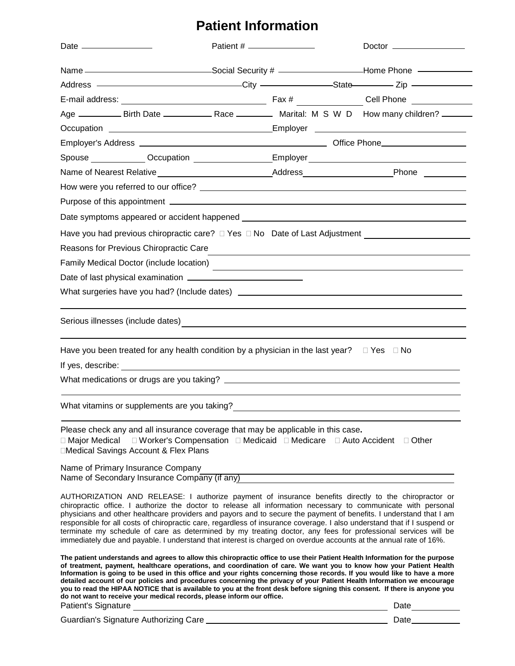# **Patient Information**

|                                                                                                                                                                                                                                                                                                                                                                                                                                                                                                                                                                                                                                                                                                               | Patient # ________________ | Doctor __________________ |
|---------------------------------------------------------------------------------------------------------------------------------------------------------------------------------------------------------------------------------------------------------------------------------------------------------------------------------------------------------------------------------------------------------------------------------------------------------------------------------------------------------------------------------------------------------------------------------------------------------------------------------------------------------------------------------------------------------------|----------------------------|---------------------------|
|                                                                                                                                                                                                                                                                                                                                                                                                                                                                                                                                                                                                                                                                                                               |                            |                           |
| Address ——————————————————City —————————State ———— Zip ————————                                                                                                                                                                                                                                                                                                                                                                                                                                                                                                                                                                                                                                               |                            |                           |
|                                                                                                                                                                                                                                                                                                                                                                                                                                                                                                                                                                                                                                                                                                               |                            |                           |
|                                                                                                                                                                                                                                                                                                                                                                                                                                                                                                                                                                                                                                                                                                               |                            |                           |
|                                                                                                                                                                                                                                                                                                                                                                                                                                                                                                                                                                                                                                                                                                               |                            |                           |
|                                                                                                                                                                                                                                                                                                                                                                                                                                                                                                                                                                                                                                                                                                               |                            |                           |
| Spouse _____________Occupation __________________Employer _______________________                                                                                                                                                                                                                                                                                                                                                                                                                                                                                                                                                                                                                             |                            |                           |
| Name of Nearest Relative_________________________________Address__________________Phone ___________                                                                                                                                                                                                                                                                                                                                                                                                                                                                                                                                                                                                           |                            |                           |
|                                                                                                                                                                                                                                                                                                                                                                                                                                                                                                                                                                                                                                                                                                               |                            |                           |
|                                                                                                                                                                                                                                                                                                                                                                                                                                                                                                                                                                                                                                                                                                               |                            |                           |
|                                                                                                                                                                                                                                                                                                                                                                                                                                                                                                                                                                                                                                                                                                               |                            |                           |
| Have you had previous chiropractic care? $\Box$ Yes $\Box$ No Date of Last Adjustment __________________________________                                                                                                                                                                                                                                                                                                                                                                                                                                                                                                                                                                                      |                            |                           |
| Reasons for Previous Chiropractic Care                                                                                                                                                                                                                                                                                                                                                                                                                                                                                                                                                                                                                                                                        |                            |                           |
| Family Medical Doctor (include location)                                                                                                                                                                                                                                                                                                                                                                                                                                                                                                                                                                                                                                                                      |                            |                           |
|                                                                                                                                                                                                                                                                                                                                                                                                                                                                                                                                                                                                                                                                                                               |                            |                           |
| What surgeries have you had? (Include dates) ___________________________________                                                                                                                                                                                                                                                                                                                                                                                                                                                                                                                                                                                                                              |                            |                           |
| Have you been treated for any health condition by a physician in the last year? $\square$ Yes $\square$ No                                                                                                                                                                                                                                                                                                                                                                                                                                                                                                                                                                                                    |                            |                           |
|                                                                                                                                                                                                                                                                                                                                                                                                                                                                                                                                                                                                                                                                                                               |                            |                           |
|                                                                                                                                                                                                                                                                                                                                                                                                                                                                                                                                                                                                                                                                                                               |                            |                           |
| What vitamins or supplements are you taking?                                                                                                                                                                                                                                                                                                                                                                                                                                                                                                                                                                                                                                                                  |                            |                           |
| Please check any and all insurance coverage that may be applicable in this case.<br>□ Major Medical □ Worker's Compensation □ Medicaid □ Medicare □ Auto Accident<br>□Medical Savings Account & Flex Plans                                                                                                                                                                                                                                                                                                                                                                                                                                                                                                    |                            | $\Box$ Other              |
| Name of Primary Insurance Company<br>Name of Secondary Insurance Company (if any)                                                                                                                                                                                                                                                                                                                                                                                                                                                                                                                                                                                                                             |                            |                           |
| AUTHORIZATION AND RELEASE: I authorize payment of insurance benefits directly to the chiropractor or<br>chiropractic office. I authorize the doctor to release all information necessary to communicate with personal<br>physicians and other healthcare providers and payors and to secure the payment of benefits. I understand that I am<br>responsible for all costs of chiropractic care, regardless of insurance coverage. I also understand that if I suspend or<br>terminate my schedule of care as determined by my treating doctor, any fees for professional services will be<br>immediately due and payable. I understand that interest is charged on overdue accounts at the annual rate of 16%. |                            |                           |
| The patient understands and agrees to allow this chiropractic office to use their Patient Health Information for the purpose<br>of treatment, payment, healthcare operations, and coordination of care. We want you to know how your Patient Health<br>Information is going to be used in this office and your rights concerning those records. If you would like to have a more<br>detailed account of our policies and procedures concerning the privacy of your Patient Health Information we encourage                                                                                                                                                                                                    |                            |                           |

**you to read the HIPAA NOTICE that is available to you at the front desk before signing this consent. If there is anyone you** 

Patient's Signature Date Guardian's Signature Authorizing Care Date

**do not want to receive your medical records, please inform our office.**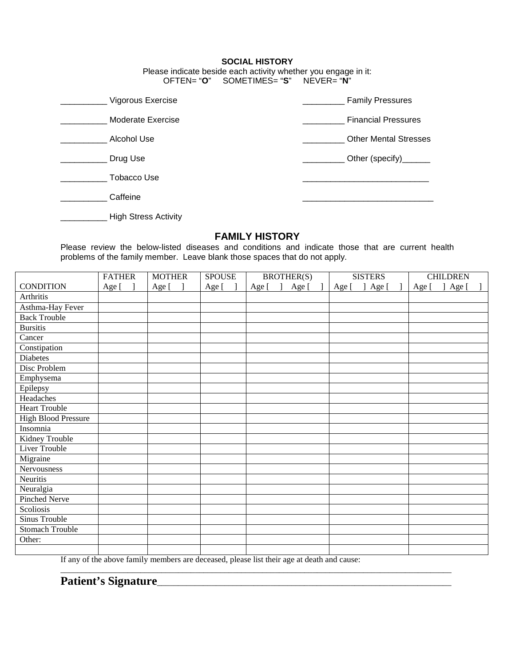### **SOCIAL HISTORY**

Please indicate beside each activity whether you engage in it: OFTEN= "**O**" SOMETIMES= "**S**" NEVER= "**N**"

| Vigorous Exercise           | <b>Family Pressures</b>      |
|-----------------------------|------------------------------|
| Moderate Exercise           | <b>Financial Pressures</b>   |
| Alcohol Use                 | <b>Other Mental Stresses</b> |
| Drug Use                    | Other (specify)_______       |
| Tobacco Use                 |                              |
| Caffeine                    |                              |
| <b>High Stress Activity</b> |                              |

## **FAMILY HISTORY**

Please review the below-listed diseases and conditions and indicate those that are current health problems of the family member. Leave blank those spaces that do not apply.

|                            | <b>FATHER</b> | <b>MOTHER</b>   | <b>SPOUSE</b> | <b>BROTHER(S)</b>  | <b>SISTERS</b>     | <b>CHILDREN</b> |
|----------------------------|---------------|-----------------|---------------|--------------------|--------------------|-----------------|
| <b>CONDITION</b>           | Age [         | $\Box$<br>Age [ | Age [         | Age [<br>$Age$ [ ] | Age $[$ ]<br>Age [ | Age [ ] Age [   |
| Arthritis                  |               |                 |               |                    |                    |                 |
| Asthma-Hay Fever           |               |                 |               |                    |                    |                 |
| <b>Back Trouble</b>        |               |                 |               |                    |                    |                 |
| <b>Bursitis</b>            |               |                 |               |                    |                    |                 |
| Cancer                     |               |                 |               |                    |                    |                 |
| Constipation               |               |                 |               |                    |                    |                 |
| Diabetes                   |               |                 |               |                    |                    |                 |
| Disc Problem               |               |                 |               |                    |                    |                 |
| Emphysema                  |               |                 |               |                    |                    |                 |
| Epilepsy                   |               |                 |               |                    |                    |                 |
| Headaches                  |               |                 |               |                    |                    |                 |
| <b>Heart Trouble</b>       |               |                 |               |                    |                    |                 |
| <b>High Blood Pressure</b> |               |                 |               |                    |                    |                 |
| Insomnia                   |               |                 |               |                    |                    |                 |
| <b>Kidney Trouble</b>      |               |                 |               |                    |                    |                 |
| Liver Trouble              |               |                 |               |                    |                    |                 |
| Migraine                   |               |                 |               |                    |                    |                 |
| Nervousness                |               |                 |               |                    |                    |                 |
| Neuritis                   |               |                 |               |                    |                    |                 |
| Neuralgia                  |               |                 |               |                    |                    |                 |
| Pinched Nerve              |               |                 |               |                    |                    |                 |
| Scoliosis                  |               |                 |               |                    |                    |                 |
| Sinus Trouble              |               |                 |               |                    |                    |                 |
| <b>Stomach Trouble</b>     |               |                 |               |                    |                    |                 |
| Other:                     |               |                 |               |                    |                    |                 |
| $\sim$ $\sim$              |               |                 |               |                    |                    |                 |

\_\_\_\_\_\_\_\_\_\_\_\_\_\_\_\_\_\_\_\_\_\_\_\_\_\_\_\_\_\_\_\_\_\_\_\_\_\_\_\_\_\_\_\_\_\_\_\_\_\_\_\_\_\_\_\_\_\_\_\_\_\_\_\_\_\_\_\_\_\_\_\_\_\_\_\_\_\_\_\_\_\_\_\_\_\_\_\_\_\_\_\_\_

If any of the above family members are deceased, please list their age at death and cause:

| <b>Patient's Signature</b> |  |
|----------------------------|--|
|                            |  |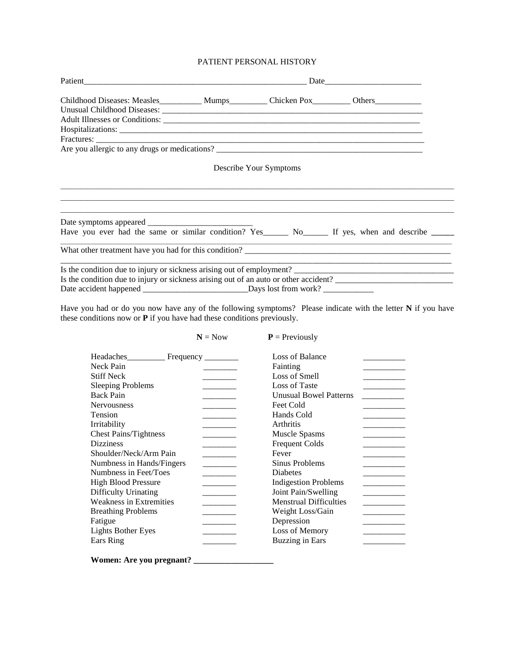## PATIENT PERSONAL HISTORY

| Patient and the contract of the contract of the contract of the contract of the contract of the contract of the contract of the contract of the contract of the contract of the contract of the contract of the contract of th |  |                        | Date and the same state of the state of the state of the state of the state of the state of the state of the state of the state of the state of the state of the state of the state of the state of the state of the state of |
|--------------------------------------------------------------------------------------------------------------------------------------------------------------------------------------------------------------------------------|--|------------------------|-------------------------------------------------------------------------------------------------------------------------------------------------------------------------------------------------------------------------------|
| Childhood Diseases: Measles__________ Mumps_________ Chicken Pox__________ Others____________                                                                                                                                  |  |                        |                                                                                                                                                                                                                               |
|                                                                                                                                                                                                                                |  |                        |                                                                                                                                                                                                                               |
|                                                                                                                                                                                                                                |  |                        |                                                                                                                                                                                                                               |
|                                                                                                                                                                                                                                |  | Describe Your Symptoms |                                                                                                                                                                                                                               |
|                                                                                                                                                                                                                                |  |                        |                                                                                                                                                                                                                               |
|                                                                                                                                                                                                                                |  |                        | Have you ever had the same or similar condition? Yes No No If yes, when and describe                                                                                                                                          |
|                                                                                                                                                                                                                                |  |                        | What other treatment have you had for this condition?                                                                                                                                                                         |
|                                                                                                                                                                                                                                |  |                        |                                                                                                                                                                                                                               |
|                                                                                                                                                                                                                                |  |                        | Is the condition due to injury or sickness arising out of an auto or other accident?                                                                                                                                          |
|                                                                                                                                                                                                                                |  |                        |                                                                                                                                                                                                                               |

Have you had or do you now have any of the following symptoms? Please indicate with the letter **N** if you have these conditions now or **P** if you have had these conditions previously.

 $N = Now$  **P** = Previously

| Headaches                      | Frequency      | Loss of Balance               |
|--------------------------------|----------------|-------------------------------|
| Neck Pain                      |                | Fainting                      |
| <b>Stiff Neck</b>              |                | Loss of Smell                 |
| <b>Sleeping Problems</b>       |                | <b>Loss of Taste</b>          |
| Back Pain                      |                | <b>Unusual Bowel Patterns</b> |
| <b>Nervousness</b>             |                | Feet Cold                     |
| <b>Tension</b>                 |                | Hands Cold                    |
| Irritability                   |                | <b>Arthritis</b>              |
| <b>Chest Pains/Tightness</b>   |                | <b>Muscle Spasms</b>          |
| <b>Dizziness</b>               |                | <b>Frequent Colds</b>         |
| Shoulder/Neck/Arm Pain         |                | Fever                         |
| Numbness in Hands/Fingers      |                | Sinus Problems                |
| Numbness in Feet/Toes          |                | Diabetes                      |
| <b>High Blood Pressure</b>     |                | <b>Indigestion Problems</b>   |
| Difficulty Urinating           |                | Joint Pain/Swelling           |
| <b>Weakness in Extremities</b> |                | <b>Menstrual Difficulties</b> |
| <b>Breathing Problems</b>      |                | Weight Loss/Gain              |
| Fatigue                        |                | Depression                    |
| <b>Lights Bother Eyes</b>      |                | Loss of Memory                |
| Ears Ring                      |                | <b>Buzzing in Ears</b>        |
| ---                            | $\cdot$ $\sim$ |                               |

**Women: Are you pregnant? \_\_\_\_\_\_\_\_\_\_\_\_\_\_\_\_\_\_\_**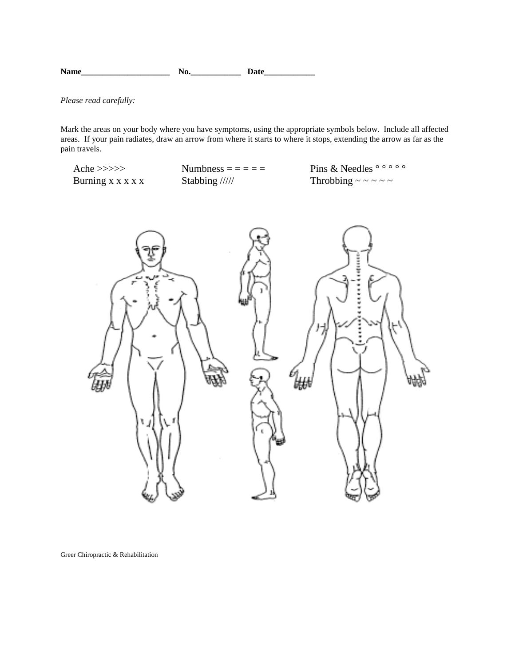**Name\_\_\_\_\_\_\_\_\_\_\_\_\_\_\_\_\_\_\_\_\_ No.\_\_\_\_\_\_\_\_\_\_\_\_ Date\_\_\_\_\_\_\_\_\_\_\_\_** 

*Please read carefully:*

Mark the areas on your body where you have symptoms, using the appropriate symbols below. Include all affected areas. If your pain radiates, draw an arrow from where it starts to where it stops, extending the arrow as far as the pain travels.

| Ache $\gg\gg>$                | Numbness $=$ $=$ $=$ $=$ $=$ | Pins & Needles $\circ$ $\circ$ $\circ$ $\circ$ $\circ$ |
|-------------------------------|------------------------------|--------------------------------------------------------|
| Burning $x \times x \times x$ | Stabbing $\frac{1}{1}$       | Throbbing $\sim \sim \sim \sim \sim$                   |
|                               |                              |                                                        |



Greer Chiropractic & Rehabilitation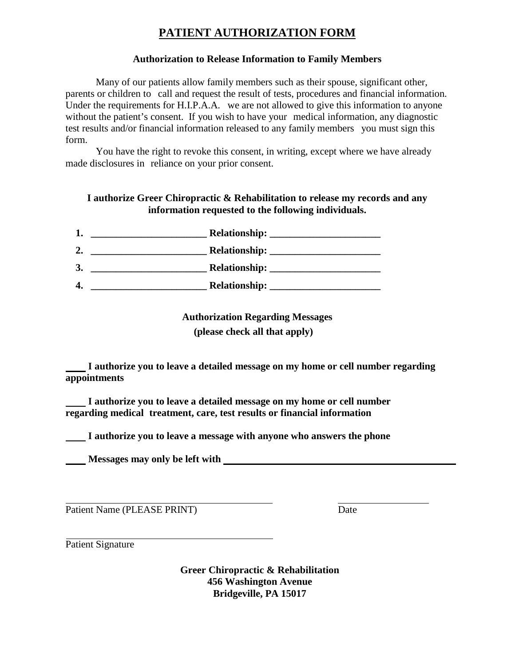## **PATIENT AUTHORIZATION FORM**

## **Authorization to Release Information to Family Members**

Many of our patients allow family members such as their spouse, significant other, parents or children to call and request the result of tests, procedures and financial information. Under the requirements for H.I.P.A.A. we are not allowed to give this information to anyone without the patient's consent. If you wish to have your medical information, any diagnostic test results and/or financial information released to any family members you must sign this form.

You have the right to revoke this consent, in writing, except where we have already made disclosures in reliance on your prior consent.

## **I authorize Greer Chiropractic & Rehabilitation to release my records and any information requested to the following individuals.**

| $\overline{2}$ . |                          |
|------------------|--------------------------|
| 3.               |                          |
| 4.               | Relationship: Neglisland |

**Authorization Regarding Messages (please check all that apply)**

**I authorize you to leave a detailed message on my home or cell number regarding appointments**

**I authorize you to leave a detailed message on my home or cell number regarding medical treatment, care, test results or financial information**

**I authorize you to leave a message with anyone who answers the phone**

**Messages may only be left with** 

Patient Name (PLEASE PRINT) Date

Patient Signature

**Greer Chiropractic & Rehabilitation 456 Washington Avenue Bridgeville, PA 15017**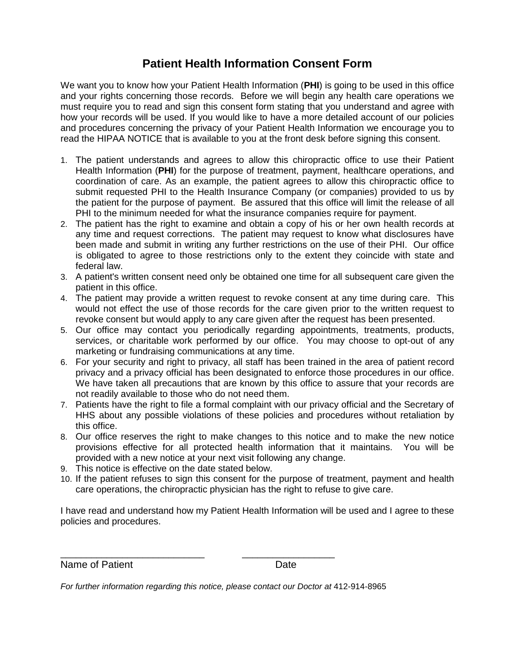## **Patient Health Information Consent Form**

We want you to know how your Patient Health Information (**PHI**) is going to be used in this office and your rights concerning those records. Before we will begin any health care operations we must require you to read and sign this consent form stating that you understand and agree with how your records will be used. If you would like to have a more detailed account of our policies and procedures concerning the privacy of your Patient Health Information we encourage you to read the HIPAA NOTICE that is available to you at the front desk before signing this consent.

- 1. The patient understands and agrees to allow this chiropractic office to use their Patient Health Information (**PHI**) for the purpose of treatment, payment, healthcare operations, and coordination of care. As an example, the patient agrees to allow this chiropractic office to submit requested PHI to the Health Insurance Company (or companies) provided to us by the patient for the purpose of payment. Be assured that this office will limit the release of all PHI to the minimum needed for what the insurance companies require for payment.
- 2. The patient has the right to examine and obtain a copy of his or her own health records at any time and request corrections. The patient may request to know what disclosures have been made and submit in writing any further restrictions on the use of their PHI. Our office is obligated to agree to those restrictions only to the extent they coincide with state and federal law.
- 3. A patient's written consent need only be obtained one time for all subsequent care given the patient in this office.
- 4. The patient may provide a written request to revoke consent at any time during care. This would not effect the use of those records for the care given prior to the written request to revoke consent but would apply to any care given after the request has been presented.
- 5. Our office may contact you periodically regarding appointments, treatments, products, services, or charitable work performed by our office. You may choose to opt-out of any marketing or fundraising communications at any time.
- 6. For your security and right to privacy, all staff has been trained in the area of patient record privacy and a privacy official has been designated to enforce those procedures in our office. We have taken all precautions that are known by this office to assure that your records are not readily available to those who do not need them.
- 7. Patients have the right to file a formal complaint with our privacy official and the Secretary of HHS about any possible violations of these policies and procedures without retaliation by this office.
- 8. Our office reserves the right to make changes to this notice and to make the new notice provisions effective for all protected health information that it maintains. You will be provided with a new notice at your next visit following any change.
- 9. This notice is effective on the date stated below.
- 10. If the patient refuses to sign this consent for the purpose of treatment, payment and health care operations, the chiropractic physician has the right to refuse to give care.

I have read and understand how my Patient Health Information will be used and I agree to these policies and procedures.

Name of Patient **Date** 

\_\_\_\_\_\_\_\_\_\_\_\_\_\_\_\_\_\_\_\_\_\_\_\_\_\_\_\_ \_\_\_\_\_\_\_\_\_\_\_\_\_\_\_\_\_\_

For further information regarding this notice, please contact our Doctor at 412-914-8965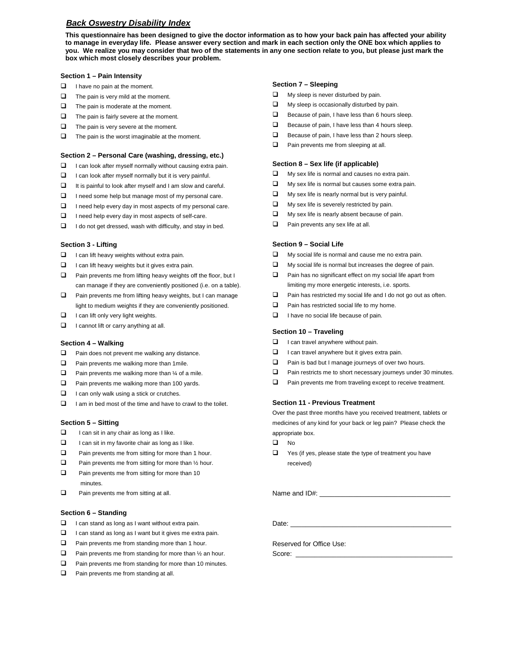### *Back Oswestry Disability Index*

**This questionnaire has been designed to give the doctor information as to how your back pain has affected your ability to manage in everyday life. Please answer every section and mark in each section only the ONE box which applies to you. We realize you may consider that two of the statements in any one section relate to you, but please just mark the box which most closely describes your problem.**

#### **Section 1 – Pain Intensity**

- $\Box$  I have no pain at the moment.
- $\Box$  The pain is very mild at the moment.
- $\Box$  The pain is moderate at the moment.
- $\Box$  The pain is fairly severe at the moment.
- $\Box$  The pain is very severe at the moment.
- $\Box$  The pain is the worst imaginable at the moment.

#### **Section 2 – Personal Care (washing, dressing, etc.)**

- $\Box$  I can look after myself normally without causing extra pain.
- $\Box$  I can look after myself normally but it is very painful.
- $\Box$  It is painful to look after myself and I am slow and careful.
- $\Box$  I need some help but manage most of my personal care.
- $\Box$  I need help every day in most aspects of my personal care.
- $\Box$  I need help every day in most aspects of self-care.
- $\Box$  I do not get dressed, wash with difficulty, and stay in bed.

#### **Section 3 - Lifting**

- $\Box$  I can lift heavy weights without extra pain.
- $\Box$  I can lift heavy weights but it gives extra pain.
- $\Box$  Pain prevents me from lifting heavy weights off the floor, but I can manage if they are conveniently positioned (i.e. on a table).
- $\Box$  Pain prevents me from lifting heavy weights, but I can manage light to medium weights if they are conveniently positioned.
- $\Box$  I can lift only very light weights.
- $\Box$  I cannot lift or carry anything at all.

#### **Section 4 – Walking**

- $\Box$  Pain does not prevent me walking any distance.
- $\Box$  Pain prevents me walking more than 1 mile.
- $\Box$  Pain prevents me walking more than  $\%$  of a mile.
- **D** Pain prevents me walking more than 100 yards.
- $\Box$  I can only walk using a stick or crutches.
- $\Box$  I am in bed most of the time and have to crawl to the toilet.

#### **Section 5 – Sitting**

- $\Box$  I can sit in any chair as long as I like.
- $\Box$  I can sit in my favorite chair as long as I like.
- □ Pain prevents me from sitting for more than 1 hour.
- $\Box$  Pain prevents me from sitting for more than  $\frac{1}{2}$  hour.
- $\Box$  Pain prevents me from sitting for more than 10 minutes.
- **D** Pain prevents me from sitting at all.

#### **Section 6 – Standing**

- $\Box$  I can stand as long as I want without extra pain.
- $\Box$  I can stand as long as I want but it gives me extra pain.
- $\Box$  Pain prevents me from standing more than 1 hour.
- $\Box$  Pain prevents me from standing for more than  $\frac{1}{2}$  an hour.
- $\Box$  Pain prevents me from standing for more than 10 minutes.
- $\Box$  Pain prevents me from standing at all.

#### **Section 7 – Sleeping**

- $\Box$  My sleep is never disturbed by pain.
- $\Box$  My sleep is occasionally disturbed by pain.
- $\Box$  Because of pain, I have less than 6 hours sleep.
- $\Box$  Because of pain, I have less than 4 hours sleep.
- $\Box$  Because of pain, I have less than 2 hours sleep.
- **Pain prevents me from sleeping at all.**

#### **Section 8 – Sex life (if applicable)**

- $\Box$  My sex life is normal and causes no extra pain.
- $\Box$  My sex life is normal but causes some extra pain.
- $\Box$  My sex life is nearly normal but is very painful.
- $\Box$  My sex life is severely restricted by pain.
- $\Box$  My sex life is nearly absent because of pain.
- $\Box$  Pain prevents any sex life at all.

#### **Section 9 – Social Life**

- $\Box$  My social life is normal and cause me no extra pain.
- $\Box$  My social life is normal but increases the degree of pain.
- $\Box$  Pain has no significant effect on my social life apart from limiting my more energetic interests, i.e. sports.
- $\Box$  Pain has restricted my social life and I do not go out as often.
- $\Box$  Pain has restricted social life to my home.
- $\Box$  I have no social life because of pain.

#### **Section 10 – Traveling**

- $\Box$  I can travel anywhere without pain.
- $\Box$  I can travel anywhere but it gives extra pain.
- $\Box$  Pain is bad but I manage journeys of over two hours.
- **Pain restricts me to short necessary journeys under 30 minutes.**
- □ Pain prevents me from traveling except to receive treatment.

#### **Section 11 - Previous Treatment**

Over the past three months have you received treatment, tablets or medicines of any kind for your back or leg pain? Please check the appropriate box.

- $\Box$  No
- $\Box$  Yes (if yes, please state the type of treatment you have received)

Name and ID#:

Date:  $\overline{\phantom{a}}$ 

#### Reserved for Office Use:

Score: